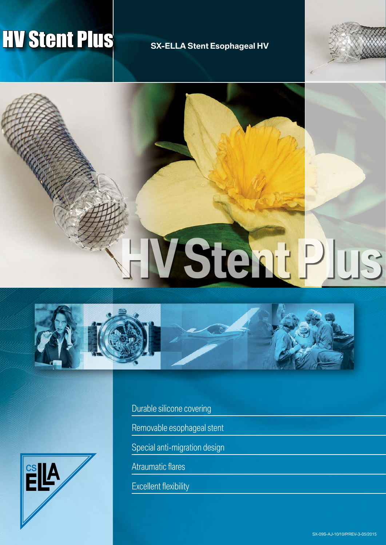# **HV Stent Plus** SX-ELLA Stent Esophageal HV









Durable silicone covering

Removable esophageal stent

Special anti-migration design

Atraumatic flares

Excellent flexibility